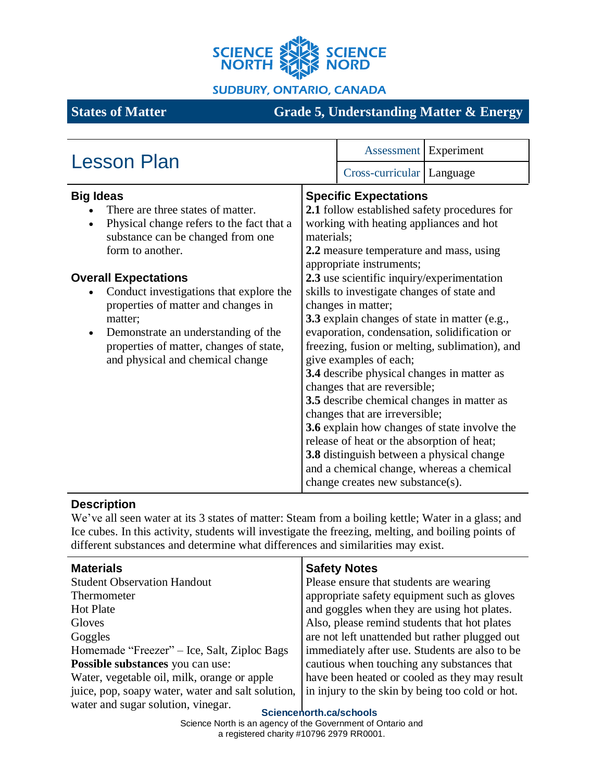

**SUDBURY, ONTARIO, CANADA** 

# **States of Matter Grade 5, Understanding Matter & Energy**

| <b>Lesson Plan</b>                                                                                                                                                                                                                                                                                                                                                                                                         |                                                         | Assessment Experiment                                                                                                                                                                                                                                                                                                                                                                                                                                                                                                                                                                                                                                                                                                                                                                                                                 |  |
|----------------------------------------------------------------------------------------------------------------------------------------------------------------------------------------------------------------------------------------------------------------------------------------------------------------------------------------------------------------------------------------------------------------------------|---------------------------------------------------------|---------------------------------------------------------------------------------------------------------------------------------------------------------------------------------------------------------------------------------------------------------------------------------------------------------------------------------------------------------------------------------------------------------------------------------------------------------------------------------------------------------------------------------------------------------------------------------------------------------------------------------------------------------------------------------------------------------------------------------------------------------------------------------------------------------------------------------------|--|
|                                                                                                                                                                                                                                                                                                                                                                                                                            |                                                         |                                                                                                                                                                                                                                                                                                                                                                                                                                                                                                                                                                                                                                                                                                                                                                                                                                       |  |
| <b>Big Ideas</b><br>There are three states of matter.<br>Physical change refers to the fact that a<br>substance can be changed from one<br>form to another.<br><b>Overall Expectations</b><br>Conduct investigations that explore the<br>properties of matter and changes in<br>matter;<br>Demonstrate an understanding of the<br>$\bullet$<br>properties of matter, changes of state,<br>and physical and chemical change | materials;<br>and a chemical change, whereas a chemical | Cross-curricular   Language<br><b>Specific Expectations</b><br>2.1 follow established safety procedures for<br>working with heating appliances and hot<br>2.2 measure temperature and mass, using<br>appropriate instruments;<br>2.3 use scientific inquiry/experimentation<br>skills to investigate changes of state and<br>changes in matter;<br>3.3 explain changes of state in matter (e.g.,<br>evaporation, condensation, solidification or<br>freezing, fusion or melting, sublimation), and<br>give examples of each;<br>3.4 describe physical changes in matter as<br>changes that are reversible;<br>3.5 describe chemical changes in matter as<br>changes that are irreversible;<br>3.6 explain how changes of state involve the<br>release of heat or the absorption of heat;<br>3.8 distinguish between a physical change |  |
|                                                                                                                                                                                                                                                                                                                                                                                                                            |                                                         | change creates new substance(s).                                                                                                                                                                                                                                                                                                                                                                                                                                                                                                                                                                                                                                                                                                                                                                                                      |  |

## **Description**

We've all seen water at its 3 states of matter: Steam from a boiling kettle; Water in a glass; and Ice cubes. In this activity, students will investigate the freezing, melting, and boiling points of different substances and determine what differences and similarities may exist.

| <b>Materials</b>                                  | <b>Safety Notes</b>                             |
|---------------------------------------------------|-------------------------------------------------|
| <b>Student Observation Handout</b>                | Please ensure that students are wearing         |
| Thermometer                                       | appropriate safety equipment such as gloves     |
| <b>Hot Plate</b>                                  | and goggles when they are using hot plates.     |
| Gloves                                            | Also, please remind students that hot plates    |
| Goggles                                           | are not left unattended but rather plugged out  |
| Homemade "Freezer" – Ice, Salt, Ziploc Bags       | immediately after use. Students are also to be  |
| Possible substances you can use:                  | cautious when touching any substances that      |
| Water, vegetable oil, milk, orange or apple       | have been heated or cooled as they may result   |
| juice, pop, soapy water, water and salt solution, | in injury to the skin by being too cold or hot. |
| water and sugar solution, vinegar.                |                                                 |

**Sciencenorth.ca/schools**